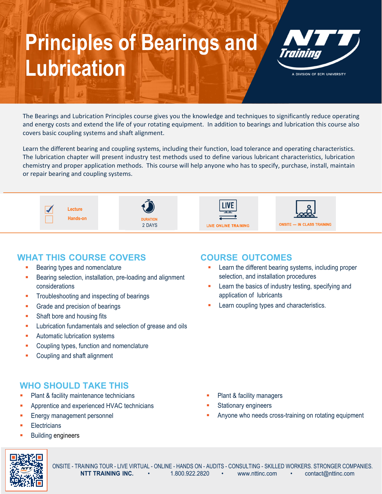# **Principles of Bearings and Lubrication Children** Water Systems and Water Systems



A DIVISION OF ECPI UNIVERSITY

The Bearings and Lubrication Principles course gives you the knowledge and techniques to significantly reduce operating and energy costs and extend the life of your rotating equipment. In addition to bearings and lubrication this course also covers basic coupling systems and shaft alignment.

Learn the different bearing and coupling systems, including their function, load tolerance and operating characteristics. The lubrication chapter will present industry test methods used to define various lubricant characteristics, lubrication chemistry and proper application methods. This course will help anyone who has to specify, purchase, install, maintain or repair bearing and coupling systems.



### **WHAT THIS COURSE COVERS**

- Bearing types and nomenclature
- Bearing selection, installation, pre-loading and alignment considerations
- **Troubleshooting and inspecting of bearings**
- **Grade and precision of bearings**
- **Shaft bore and housing fits**
- **Lubrication fundamentals and selection of grease and oils**
- **Automatic lubrication systems**
- **EXECOUPLING** Coupling types, function and nomenclature
- Coupling and shaft alignment

## **WHO SHOULD TAKE THIS**

- Plant & facility maintenance technicians
- Apprentice and experienced HVAC technicians
- Energy management personnel
- **Electricians**
- Building engineers

### **COURSE OUTCOMES**

- Learn the different bearing systems, including proper selection, and installation procedures
- Learn the basics of industry testing, specifying and application of lubricants
- Learn coupling types and characteristics.

- Plant & facility managers
- Stationary engineers
- Anyone who needs cross-training on rotating equipment



ONSITE - TRAINING TOUR - LIVE VIRTUAL - ONLINE - HANDS ON - AUDITS - CONSULTING - SKILLED WORKERS. STRONGER COMPANIES.<br>
NTT TRAINING INC. 
I.800.922.2820 · www.nttinc.com · contact@nttinc.com www.nttinc.com • contact@nttinc.com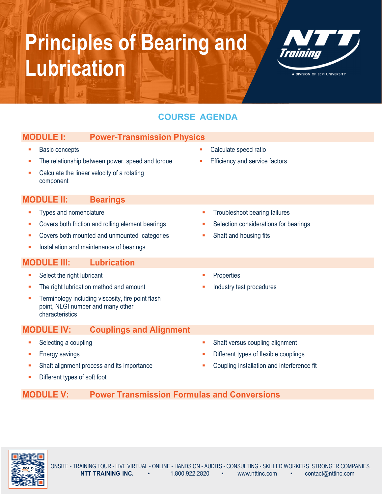# **Principles of Bearing and Lubrication Children** Water Systems and Water Systems



A DIVISION OF ECPI UNIVERSITY

## **COURSE AGENDA**

| <b>MODULE I:</b><br><b>Power-Transmission Physics</b>                                                     |                                       |
|-----------------------------------------------------------------------------------------------------------|---------------------------------------|
| <b>Basic concepts</b>                                                                                     | Calculate speed ratio<br>п            |
| The relationship between power, speed and torque                                                          | Efficiency and service factors<br>п   |
| Calculate the linear velocity of a rotating<br>component                                                  |                                       |
| <b>MODULE II:</b><br><b>Bearings</b>                                                                      |                                       |
| Types and nomenclature                                                                                    | Troubleshoot bearing failures<br>٠    |
| Covers both friction and rolling element bearings                                                         | Selection considerations for bearings |
| Covers both mounted and unmounted categories                                                              | Shaft and housing fits                |
| Installation and maintenance of bearings<br>п                                                             |                                       |
| <b>MODULE III:</b><br><b>Lubrication</b>                                                                  |                                       |
| Select the right lubricant<br>ш                                                                           | Properties<br>٠                       |
| The right lubrication method and amount                                                                   | Industry test procedures              |
| Terminology including viscosity, fire point flash<br>point, NLGI number and many other<br>characteristics |                                       |
| <b>Couplings and Alignment</b><br><b>MODULE IV:</b>                                                       |                                       |
| Selecting a coupling                                                                                      | Shaft versus coupling alignment       |

- **Energy savings**
- Shaft alignment process and its importance
- Different types of soft foot
- 
- Different types of flexible couplings
- Coupling installation and interference fit

## **MODULE V: Power Transmission Formulas and Conversions**